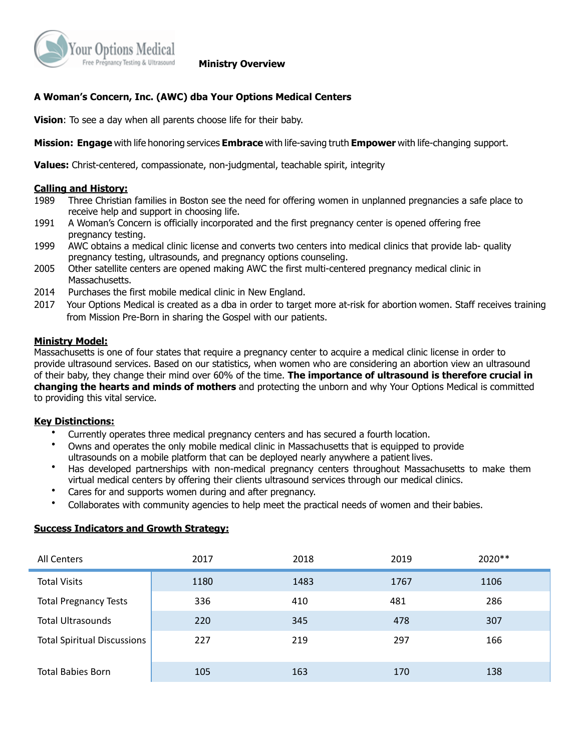

### **Ministry Overview**

## **A Woman's Concern, Inc. (AWC) dba Your Options Medical Centers**

**Vision**: To see a day when all parents choose life for their baby.

**Mission: Engage** with life honoring services **Embrace** with life-saving truth **Empower** with life-changing support.

**Values:** Christ-centered, compassionate, non-judgmental, teachable spirit, integrity

#### **Calling and History:**

- 1989 Three Christian families in Boston see the need for offering women in unplanned pregnancies a safe place to receive help and support in choosing life.
- 1991 A Woman's Concern is officially incorporated and the first pregnancy center is opened offering free pregnancy testing.
- 1999 AWC obtains a medical clinic license and converts two centers into medical clinics that provide lab- quality pregnancy testing, ultrasounds, and pregnancy options counseling.
- 2005 Other satellite centers are opened making AWC the first multi-centered pregnancy medical clinic in Massachusetts.
- 2014 Purchases the first mobile medical clinic in New England.
- 2017 Your Options Medical is created as a dba in order to target more at-risk for abortion women. Staff receives training from Mission Pre-Born in sharing the Gospel with our patients.

#### **Ministry Model:**

Massachusetts is one of four states that require a pregnancy center to acquire a medical clinic license in order to provide ultrasound services. Based on our statistics, when women who are considering an abortion view an ultrasound of their baby, they change their mind over 60% of the time. **The importance of ultrasound is therefore crucial in changing the hearts and minds of mothers** and protecting the unborn and why Your Options Medical is committed to providing this vital service.

#### **Key Distinctions:**

- Currently operates three medical pregnancy centers and has secured a fourth location.
- Owns and operates the only mobile medical clinic in Massachusetts that is equipped to provide ultrasounds on a mobile platform that can be deployed nearly anywhere a patient lives.
- Has developed partnerships with non-medical pregnancy centers throughout Massachusetts to make them virtual medical centers by offering their clients ultrasound services through our medical clinics.
- Cares for and supports women during and after pregnancy.
- Collaborates with community agencies to help meet the practical needs of women and their babies.

### **Success Indicators and Growth Strategy:**

| All Centers                        | 2017 | 2018 | 2019 | $2020**$ |
|------------------------------------|------|------|------|----------|
| <b>Total Visits</b>                | 1180 | 1483 | 1767 | 1106     |
| <b>Total Pregnancy Tests</b>       | 336  | 410  | 481  | 286      |
| <b>Total Ultrasounds</b>           | 220  | 345  | 478  | 307      |
| <b>Total Spiritual Discussions</b> | 227  | 219  | 297  | 166      |
| <b>Total Babies Born</b>           | 105  | 163  | 170  | 138      |